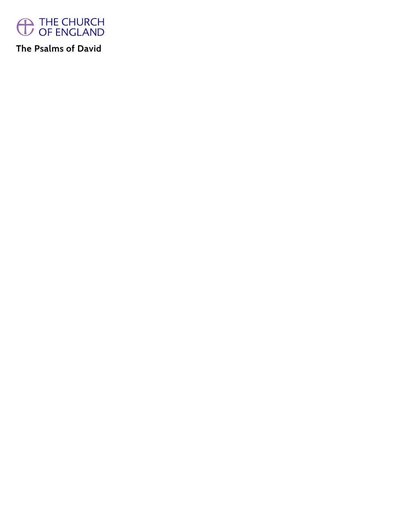

**The Psalms of David**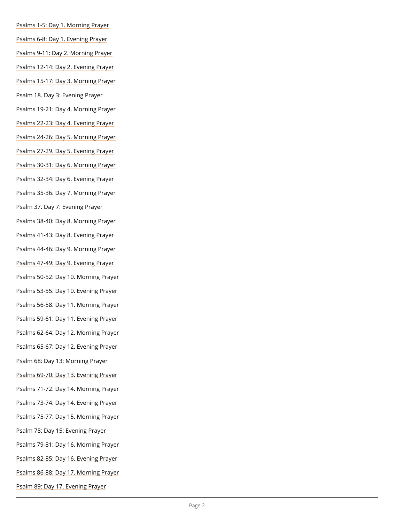- [Psalms 1-5: Day 1. Mo](/prayer-and-worship/worship-texts-and-resources/book-common-prayer/psalter/psalms-1-5)rning Prayer
- [Psalms 6-8: Day 1. Ev](/prayer-and-worship/worship-texts-and-resources/book-common-prayer/psalter/psalms-6-8)ening Prayer
- [Psalms 9-11: Day 2. Mo](/prayer-and-worship/worship-texts-and-resources/book-common-prayer/psalter/psalms-9-11)rning Prayer
- [Psalms 12-14: Day 2. E](/prayer-and-worship/worship-texts-and-resources/book-common-prayer/psalter/psalms-12-14)vening Prayer
- [Psalms 15-17: Day 3. Mo](/prayer-and-worship/worship-texts-and-resources/book-common-prayer/psalter/psalms-15-17)rning Prayer
- [Psalm 18. Day 3: Eve](/prayer-and-worship/worship-texts-and-resources/book-common-prayer/psalter/psalm-18)ning Prayer
- [Psalms 19-21: Day 4. Mo](/prayer-and-worship/worship-texts-and-resources/book-common-prayer/psalter/psalm-19-21)rning Prayer
- [Psalms 22-23: Day 4. E](/prayer-and-worship/worship-texts-and-resources/book-common-prayer/psalter/psalms-22-23)vening Prayer
- [Psalms 24-26: Day 5. Mo](/prayer-and-worship/worship-texts-and-resources/book-common-prayer/psalter/psalms-24-26)rning Prayer
- [Psalms 27-29. Day 5. E](/prayer-and-worship/worship-texts-and-resources/book-common-prayer/psalter/psalms-27-29)vening Prayer
- [Psalms 30-31: Day 6. Mo](/prayer-and-worship/worship-texts-and-resources/book-common-prayer/psalter/psalms-30-31)rning Prayer
- [Psalms 32-34: Day 6. E](/prayer-and-worship/worship-texts-and-resources/book-common-prayer/psalter/psalms-32-34)vening Prayer
- [Psalms 35-36: Day 7. Mo](/prayer-and-worship/worship-texts-and-resources/book-common-prayer/psalter/psalms-35-36)rning Prayer
- [Psalm 37. Day 7: Eve](/prayer-and-worship/worship-texts-and-resources/book-common-prayer/psalter/psalm-37)ning Prayer
- [Psalms 38-40: Day 8. Mo](/prayer-and-worship/worship-texts-and-resources/book-common-prayer/psalter/psalms-38-40)rning Prayer
- [Psalms 41-43: Day 8. E](/prayer-and-worship/worship-texts-and-resources/book-common-prayer/psalter/psalms-41-43)vening Prayer
- [Psalms 44-46: Day 9. Mo](/prayer-and-worship/worship-texts-and-resources/book-common-prayer/psalter/psalms-44-46)rning Prayer
- [Psalms 47-49: Day 9. E](/prayer-and-worship/worship-texts-and-resources/book-common-prayer/psalter/psalms-47-49)vening Prayer
- [Psalms 50-52: Day 10. M](/prayer-and-worship/worship-texts-and-resources/book-common-prayer/psalter/psalms-50-52)orning Prayer
- [Psalms 53-55: Day 10. E](/prayer-and-worship/worship-texts-and-resources/book-common-prayer/psalter/psalms-53-55)vening Prayer
- [Psalms 56-58: Day 11. M](/prayer-and-worship/worship-texts-and-resources/book-common-prayer/psalter/psalms-56-58)orning Prayer
- [Psalms 59-61: Day 11. E](/prayer-and-worship/worship-texts-and-resources/book-common-prayer/psalter/psalms-59-61)vening Prayer
- [Psalms 62-64: Day 12. M](/prayer-and-worship/worship-texts-and-resources/book-common-prayer/psalter/psalms-62-64)orning Prayer
- [Psalms 65-67: Day 12. E](/prayer-and-worship/worship-texts-and-resources/book-common-prayer/psalter/psalms-65-67)vening Prayer
- [Psalm 68: Day 13: Mor](/prayer-and-worship/worship-texts-and-resources/book-common-prayer/psalter/psalm-68)ning Prayer
- [Psalms 69-70: Day 13. E](/prayer-and-worship/worship-texts-and-resources/book-common-prayer/psalter/psalms-69-70)vening Prayer
- [Psalms 71-72: Day 14. M](/prayer-and-worship/worship-texts-and-resources/book-common-prayer/psalter/psalms-71-72)orning Prayer

[Psalms 73-74: Day 14. E](/prayer-and-worship/worship-texts-and-resources/book-common-prayer/psalter/psalms-73-74)vening Prayer

[Psalms 75-77: Day 15. M](/prayer-and-worship/worship-texts-and-resources/book-common-prayer/psalter/psalms-75-77)orning Prayer

[Psalm 78: Day 15: Ev](/prayer-and-worship/worship-texts-and-resources/book-common-prayer/psalter/psalm-78)ening Prayer

[Psalms 79-81: Day 16. M](/prayer-and-worship/worship-texts-and-resources/book-common-prayer/psalter/psalms-79-81)orning Prayer

[Psalms 82-85: Day 16. E](/prayer-and-worship/worship-texts-and-resources/book-common-prayer/psalter/psalms-82-85)vening Prayer

[Psalms 86-88: Day 17. M](/prayer-and-worship/worship-texts-and-resources/book-common-prayer/psalter/psalms-86-88)orning Prayer

[Psalm 89: Day 17. Ev](/prayer-and-worship/worship-texts-and-resources/book-common-prayer/psalter/psalm-89)ening Prayer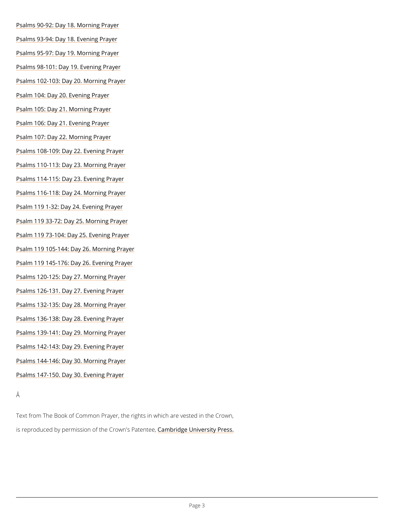- [Psalms 90-92: Day 18. M](/prayer-and-worship/worship-texts-and-resources/book-common-prayer/psalter/psalms-90-92)orning Prayer
- [Psalms 93-94: Day 18. E](/prayer-and-worship/worship-texts-and-resources/book-common-prayer/psalter/psalms-93-94)vening Prayer
- [Psalms 95-97: Day 19. M](/prayer-and-worship/worship-texts-and-resources/book-common-prayer/psalter/psalms-95-97)orning Prayer
- [Psalms 98-101: Day 19. E](/prayer-and-worship/worship-texts-and-resources/book-common-prayer/psalter/psalms-98-101)vening Prayer
- [Psalms 102-103: Day 20. M](/prayer-and-worship/worship-texts-and-resources/book-common-prayer/psalter/psalms-102-103)orning Prayer
- [Psalm 104: Day 20. Ev](/prayer-and-worship/worship-texts-and-resources/book-common-prayer/psalter/psalm-104)ening Prayer
- [Psalm 105: Day 21. Mo](/prayer-and-worship/worship-texts-and-resources/book-common-prayer/psalter/psalm-105)rning Prayer
- [Psalm 106: Day 21. Ev](/prayer-and-worship/worship-texts-and-resources/book-common-prayer/psalter/psalm-106)ening Prayer
- [Psalm 107: Day 22. Mo](/prayer-and-worship/worship-texts-and-resources/book-common-prayer/psalter/psalm-107)rning Prayer
- [Psalms 108-109: Day 22. E](/prayer-and-worship/worship-texts-and-resources/book-common-prayer/psalter/psalms-108-109)vening Prayer
- [Psalms 110-113: Day 23. M](/prayer-and-worship/worship-texts-and-resources/book-common-prayer/psalter/psalms-110-113)orning Prayer
- [Psalms 114-115: Day 23. E](/prayer-and-worship/worship-texts-and-resources/book-common-prayer/psalter/psalms-114-115)vening Prayer
- [Psalms 116-118: Day 24. M](/prayer-and-worship/worship-texts-and-resources/book-common-prayer/psalter/psalms-116-118)orning Prayer
- [Psalm 119 1-32: Day 24. E](/prayer-and-worship/worship-texts-and-resources/book-common-prayer/psalter/psalm-119-1-32)vening Prayer
- [Psalm 119 33-72: Day 25. M](/prayer-and-worship/worship-texts-and-resources/book-common-prayer/psalter/psalm-119-33-72)orning Prayer
- [Psalm 119 73-104: Day 25.](/prayer-and-worship/worship-texts-and-resources/book-common-prayer/psalter/psalm-119-73-104) Evening Prayer
- [Psalm 119 105-144: Day 26.](/prayer-and-worship/worship-texts-and-resources/book-common-prayer/psalter/psalm-119-105-144) Morning Prayer
- [Psalm 119 145-176: Day 26.](/prayer-and-worship/worship-texts-and-resources/book-common-prayer/psalter/psalm-119-145-176) Evening Prayer
- [Psalms 120-125: Day 27. M](/prayer-and-worship/worship-texts-and-resources/book-common-prayer/psalter/psalms-120-125)orning Prayer
- [Psalms 126-131. Day 27. E](/prayer-and-worship/worship-texts-and-resources/book-common-prayer/psalter/psalms-126-131)vening Prayer
- [Psalms 132-135: Day 28. M](/prayer-and-worship/worship-texts-and-resources/book-common-prayer/psalter/psalms-132-135)orning Prayer
- [Psalms 136-138: Day 28. E](/prayer-and-worship/worship-texts-and-resources/book-common-prayer/psalter/psalms-136-138)vening Prayer
- [Psalms 139-141: Day 29. M](/prayer-and-worship/worship-texts-and-resources/book-common-prayer/psalter/psalms-139-141)orning Prayer
- [Psalms 142-143: Day 29. E](/prayer-and-worship/worship-texts-and-resources/book-common-prayer/psalter/psalms-142-143)vening Prayer
- [Psalms 144-146: Day 30. M](/prayer-and-worship/worship-texts-and-resources/book-common-prayer/psalter/psalms-144-146)orning Prayer
- [Psalms 147-150. Day 30. E](/prayer-and-worship/worship-texts-and-resources/book-common-prayer/psalter/psalms-147-150)vening Prayer

Text from The Book of Common Prayer, the rights in which are vested in the Crown,

is reproduced by permission of the  $C$   $\epsilon$  m down'd ge P behavior press.